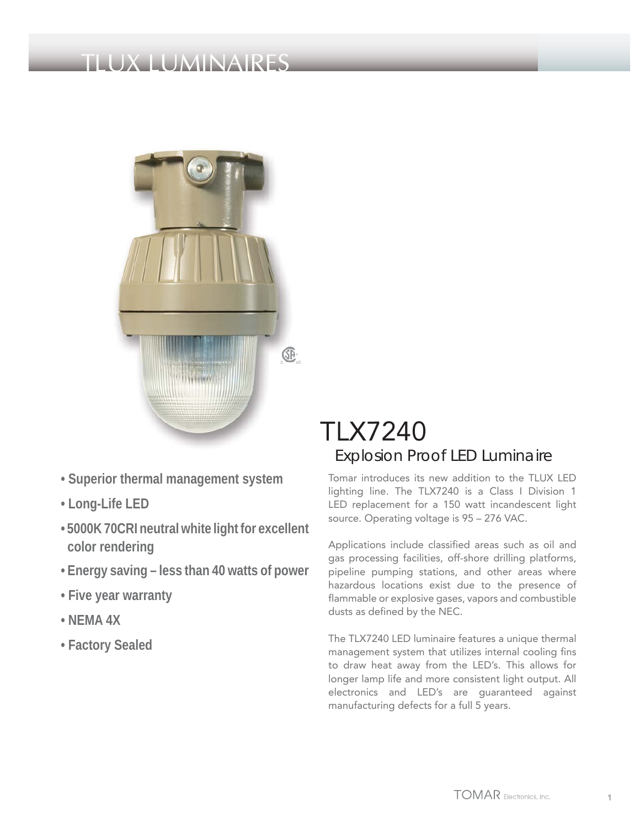## LUMINA



- **Superior thermal management system**
- **Long-Life LED**
- **5000K 70CRI neutral white light for excellent color rendering**
- **Energy saving less than 40 watts of power**
- **Five year warranty**
- **NEMA 4X**
- **Factory Sealed**

### TLX7240 Explosion Proof LED Luminaire

Tomar introduces its new addition to the TLUX LED lighting line. The TLX7240 is a Class I Division 1 LED replacement for a 150 watt incandescent light source. Operating voltage is 95 – 276 VAC.

Applications include classified areas such as oil and gas processing facilities, off-shore drilling platforms, pipeline pumping stations, and other areas where hazardous locations exist due to the presence of flammable or explosive gases, vapors and combustible dusts as defined by the NEC.

The TLX7240 LED luminaire features a unique thermal management system that utilizes internal cooling fins to draw heat away from the LED's. This allows for longer lamp life and more consistent light output. All electronics and LED's are guaranteed against manufacturing defects for a full 5 years.